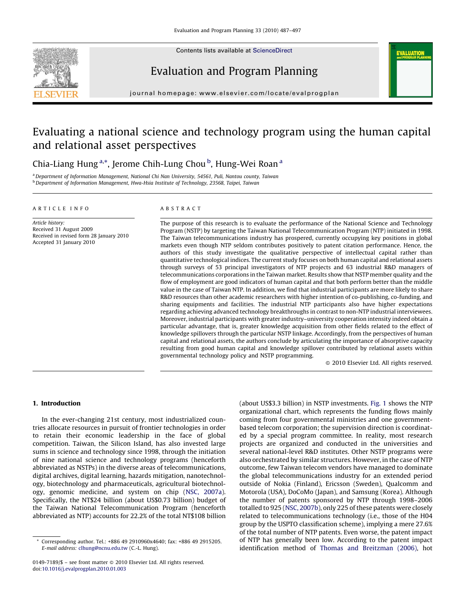

Contents lists available at [ScienceDirect](http://www.sciencedirect.com/science/journal/01497189)

# Evaluation and Program Planning

**ALUATIO** 

journal homepage: www.elsevier.com/locate/evalprogplan

# Evaluating a national science and technology program using the human capital and relational asset perspectives

## Chia-Liang Hung<sup>a,\*</sup>, Jerome Chih-Lung Chou <sup>b</sup>, Hung-Wei Roan<sup>a</sup>

a Department of Information Management, National Chi Nan University, 54561, Puli, Nantou county, Taiwan b Department of Information Management, Hwa-Hsia Institute of Technology, 23568, Taipei, Taiwan

#### ARTICLE INFO

Article history: Received 31 August 2009 Received in revised form 28 January 2010 Accepted 31 January 2010

#### ABSTRACT

The purpose of this research is to evaluate the performance of the National Science and Technology Program (NSTP) by targeting the Taiwan National Telecommunication Program (NTP) initiated in 1998. The Taiwan telecommunications industry has prospered, currently occupying key positions in global markets even though NTP seldom contributes positively to patent citation performance. Hence, the authors of this study investigate the qualitative perspective of intellectual capital rather than quantitative technological indices. The current study focuses on both human capital and relational assets through surveys of 53 principal investigators of NTP projects and 63 industrial R&D managers of telecommunications corporations in the Taiwan market. Results show that NSTP member quality and the flow of employment are good indicators of human capital and that both perform better than the middle value in the case of Taiwan NTP. In addition, we find that industrial participants are more likely to share R&D resources than other academic researchers with higher intention of co-publishing, co-funding, and sharing equipments and facilities. The industrial NTP participants also have higher expectations regarding achieving advanced technology breakthroughs in contrast to non-NTP industrial interviewees. Moreover, industrial participants with greater industry–university cooperation intensity indeed obtain a particular advantage, that is, greater knowledge acquisition from other fields related to the effect of knowledge spillovers through the particular NSTP linkage. Accordingly, from the perspectives of human capital and relational assets, the authors conclude by articulating the importance of absorptive capacity resulting from good human capital and knowledge spillover contributed by relational assets within governmental technology policy and NSTP programming.

- 2010 Elsevier Ltd. All rights reserved.

## 1. Introduction

In the ever-changing 21st century, most industrialized countries allocate resources in pursuit of frontier technologies in order to retain their economic leadership in the face of global competition. Taiwan, the Silicon Island, has also invested large sums in science and technology since 1998, through the initiation of nine national science and technology programs (henceforth abbreviated as NSTPs) in the diverse areas of telecommunications, digital archives, digital learning, hazards mitigation, nanotechnology, biotechnology and pharmaceuticals, agricultural biotechnology, genomic medicine, and system on chip ([NSC, 2007a\)](#page--1-0). Specifically, the NT\$24 billion (about US\$0.73 billion) budget of the Taiwan National Telecommunication Program (henceforth abbreviated as NTP) accounts for 22.2% of the total NT\$108 billion (about US\$3.3 billion) in NSTP investments. [Fig. 1](#page-1-0) shows the NTP organizational chart, which represents the funding flows mainly coming from four governmental ministries and one governmentbased telecom corporation; the supervision direction is coordinated by a special program committee. In reality, most research projects are organized and conducted in the universities and several national-level R&D institutes. Other NSTP programs were also orchestrated by similar structures. However, in the case of NTP outcome, few Taiwan telecom vendors have managed to dominate the global telecommunications industry for an extended period outside of Nokia (Finland), Ericsson (Sweden), Qualcomm and Motorola (USA), DoCoMo (Japan), and Samsung (Korea). Although the number of patents sponsored by NTP through 1998–2006 totalled to 925 ([NSC, 2007b\)](#page--1-0), only 225 of these patents were closely related to telecommunications technology (i.e., those of the H04 group by the USPTO classification scheme), implying a mere 27.6% of the total number of NTP patents. Even worse, the patent impact of NTP has generally been low. According to the patent impact identification method of [Thomas and Breitzman \(2006\)](#page--1-0), hot

Corresponding author. Tel.: +886 49 2910960x4640; fax: +886 49 2915205. E-mail address: [clhung@ncnu.edu.tw](mailto:clhung@ncnu.edu.tw) (C.-L. Hung).

<sup>0149-7189/\$ –</sup> see front matter © 2010 Elsevier Ltd. All rights reserved. doi:[10.1016/j.evalprogplan.2010.01.003](http://dx.doi.org/10.1016/j.evalprogplan.2010.01.003)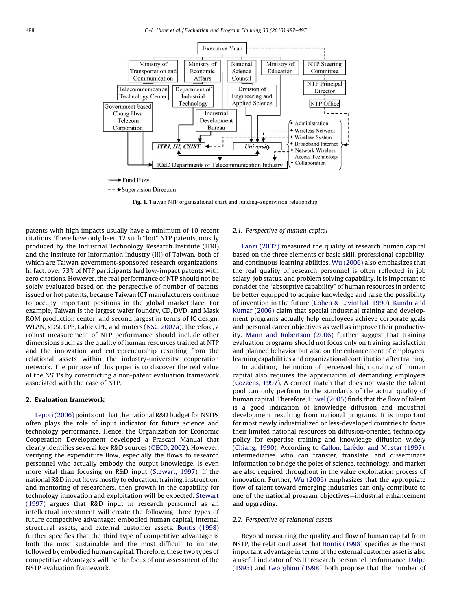<span id="page-1-0"></span>

Fig. 1. Taiwan NTP organizational chart and funding–supervision relationship.

patents with high impacts usually have a minimum of 10 recent citations. There have only been 12 such ''hot'' NTP patents, mostly produced by the Industrial Technology Research Institute (ITRI) and the Institute for Information Industry (III) of Taiwan, both of which are Taiwan government-sponsored research organizations. In fact, over 73% of NTP participants had low-impact patents with zero citations. However, the real performance of NTP should not be solely evaluated based on the perspective of number of patents issued or hot patents, because Taiwan ICT manufacturers continue to occupy important positions in the global marketplace. For example, Taiwan is the largest wafer foundry, CD, DVD, and Mask ROM production center, and second largest in terms of IC design, WLAN, xDSL CPE, Cable CPE, and routers [\(NSC, 2007a](#page--1-0)). Therefore, a robust measurement of NTP performance should include other dimensions such as the quality of human resources trained at NTP and the innovation and entrepreneurship resulting from the relational assets within the industry-university cooperation network. The purpose of this paper is to discover the real value of the NSTPs by constructing a non-patent evaluation framework associated with the case of NTP.

#### 2. Evaluation framework

[Lepori \(2006\)](#page--1-0) points out that the national R&D budget for NSTPs often plays the role of input indicator for future science and technology performance. Hence, the Organization for Economic Cooperation Development developed a Frascati Manual that clearly identifies several key R&D sources ([OECD, 2002](#page--1-0)). However, verifying the expenditure flow, especially the flows to research personnel who actually embody the output knowledge, is even more vital than focusing on R&D input ([Stewart, 1997\)](#page--1-0). If the national R&D input flows mostly to education, training, instruction, and mentoring of researchers, then growth in the capability for technology innovation and exploitation will be expected. [Stewart](#page--1-0) [\(1997\)](#page--1-0) argues that R&D input in research personnel as an intellectual investment will create the following three types of future competitive advantage: embodied human capital, internal structural assets, and external customer assets. [Bontis \(1998\)](#page--1-0) further specifies that the third type of competitive advantage is both the most sustainable and the most difficult to imitate, followed by embodied human capital. Therefore, these two types of competitive advantages will be the focus of our assessment of the NSTP evaluation framework.

### 2.1. Perspective of human capital

[Lanzi \(2007\)](#page--1-0) measured the quality of research human capital based on the three elements of basic skill, professional capability, and continuous learning abilities. [Wu \(2006\)](#page--1-0) also emphasizes that the real quality of research personnel is often reflected in job salary, job status, and problem solving capability. It is important to consider the ''absorptive capability'' of human resources in order to be better equipped to acquire knowledge and raise the possibility of invention in the future [\(Cohen & Levinthal, 1990](#page--1-0)). [Kundu and](#page--1-0) [Kumar \(2006\)](#page--1-0) claim that special industrial training and development programs actually help employees achieve corporate goals and personal career objectives as well as improve their productivity. [Mann and Robertson \(2006\)](#page--1-0) further suggest that training evaluation programs should not focus only on training satisfaction and planned behavior but also on the enhancement of employees' learning capabilities and organizational contribution after training.

In addition, the notion of perceived high quality of human capital also requires the appreciation of demanding employers ([Cozzens, 1997](#page--1-0)). A correct match that does not waste the talent pool can only perform to the standards of the actual quality of human capital. Therefore, [Luwel \(2005\)](#page--1-0) finds that the flow of talent is a good indication of knowledge diffusion and industrial development resulting from national programs. It is important for most newly industrialized or less-developed countries to focus their limited national resources on diffusion-oriented technology policy for expertise training and knowledge diffusion widely ([Chiang, 1990\)](#page--1-0). According to Callon, Larédo, and Mustar (1997), intermediaries who can transfer, translate, and disseminate information to bridge the poles of science, technology, and market are also required throughout in the value exploitation process of innovation. Further, [Wu \(2006\)](#page--1-0) emphasizes that the appropriate flow of talent toward emerging industries can only contribute to one of the national program objectives—industrial enhancement and upgrading.

### 2.2. Perspective of relational assets

Beyond measuring the quality and flow of human capital from NSTP, the relational asset that [Bontis \(1998\)](#page--1-0) specifies as the most important advantage in terms of the external customer asset is also a useful indicator of NSTP research personnel performance. [Dalpe](#page--1-0) [\(1993\)](#page--1-0) and [Georghiou \(1998\)](#page--1-0) both propose that the number of